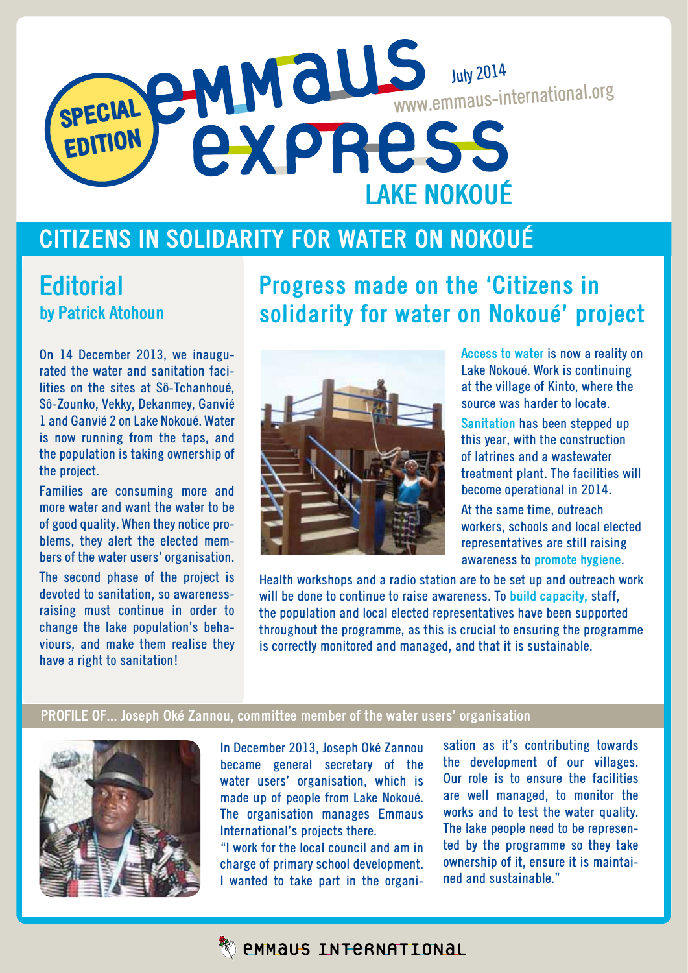# SPECIAL EDITION July 2014 www.emmaus-international.org **LAKE NOKOUé**

#### **Citizens in solidarity for water on Nokoué**

#### **Editorial by Patrick Atohoun**

#### **Progress made on the 'Citizens in solidarity for water on Nokoué' project**

On 14 December 2013, we inaugurated the water and sanitation facilities on the sites at Sô-Tchanhoué, Sô-Zounko, Vekky, Dekanmey, Ganvié 1 and Ganvié 2 on Lake Nokoué. Water is now running from the taps, and the population is taking ownership of the project.

Families are consuming more and more water and want the water to be of good quality. When they notice problems, they alert the elected members of the water users' organisation.

The second phase of the project is devoted to sanitation, so awarenessraising must continue in order to change the lake population's behaviours, and make them realise they have a right to sanitation!



**Access to water** is now a reality on Lake Nokoué. Work is continuing at the village of Kinto, where the source was harder to locate.

**Sanitation** has been stepped up this year, with the construction of latrines and a wastewater treatment plant. The facilities will become operational in 2014.

At the same time, outreach workers, schools and local elected representatives are still raising awareness to **promote hygiene**.

Health workshops and a radio station are to be set up and outreach work will be done to continue to raise awareness. To **build capacity,** staff, the population and local elected representatives have been supported throughout the programme, as this is crucial to ensuring the programme is correctly monitored and managed, and that it is sustainable.

#### **Profile of... Joseph Oké Zannou, committee member of the water users' organisation**



In December 2013, Joseph Oké Zannou became general secretary of the water users' organisation, which is made up of people from Lake Nokoué. The organisation manages Emmaus International's projects there.

"I work for the local council and am in charge of primary school development. I wanted to take part in the organisation as it's contributing towards the development of our villages. Our role is to ensure the facilities are well managed, to monitor the works and to test the water quality. The lake people need to be represented by the programme so they take ownership of it, ensure it is maintained and sustainable."

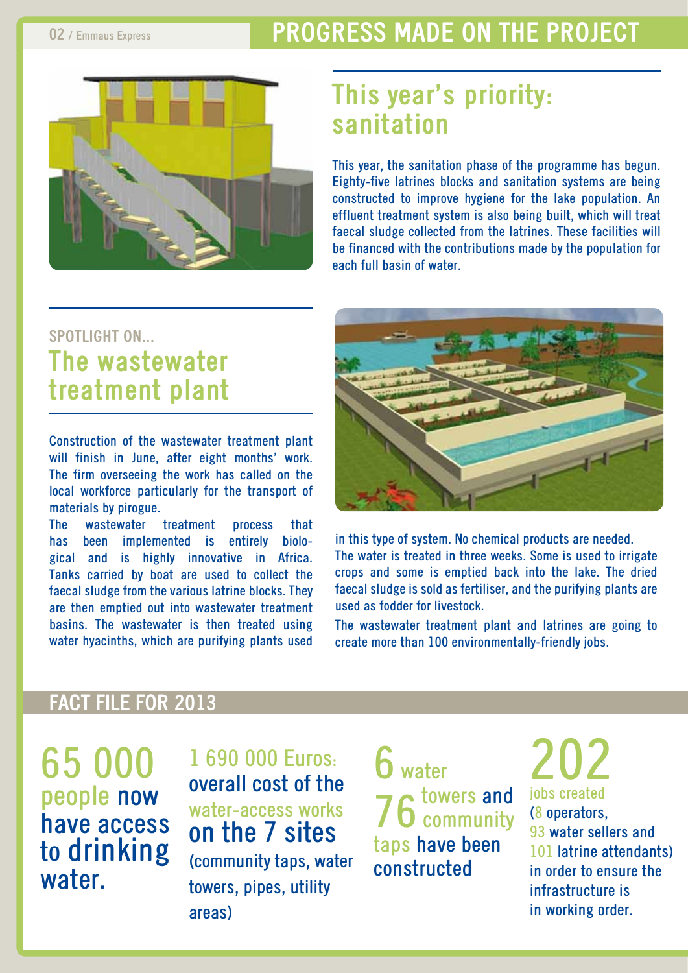#### **02** / Emmaus Express **PROGRESS MADE ON THE PROJECT**



## **This year's priority: sanitation**

This year, the sanitation phase of the programme has begun. Eighty-five latrines blocks and sanitation systems are being constructed to improve hygiene for the lake population. An effluent treatment system is also being built, which will treat faecal sludge collected from the latrines. These facilities will be financed with the contributions made by the population for each full basin of water.

#### **spotlight on... The wastewater treatment plant**

Construction of the wastewater treatment plant will finish in June, after eight months' work. The firm overseeing the work has called on the local workforce particularly for the transport of materials by pirogue.

The wastewater treatment process that has been implemented is entirely biological and is highly innovative in Africa. Tanks carried by boat are used to collect the faecal sludge from the various latrine blocks. They are then emptied out into wastewater treatment basins. The wastewater is then treated using water hyacinths, which are purifying plants used



in this type of system. No chemical products are needed. The water is treated in three weeks. Some is used to irrigate crops and some is emptied back into the lake. The dried faecal sludge is sold as fertiliser, and the purifying plants are used as fodder for livestock.

The wastewater treatment plant and latrines are going to create more than 100 environmentally-friendly jobs.

#### **fact file for 2013**

65 000 people now have access to drinking water.

1 690 000 Euros: overall cost of the water-access works on the 7 sites (community taps, water towers, pipes, utility areas)

6 water 76 towers and taps have been constructed

202 jobs created (8 operators, 93 water sellers and 101 latrine attendants) in order to ensure the infrastructure is in working order.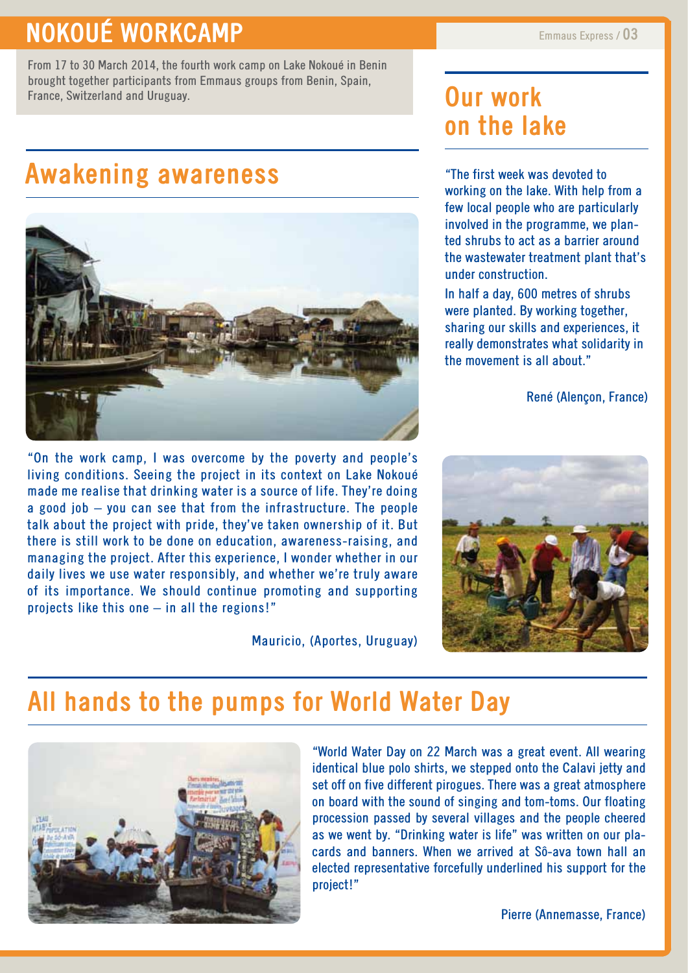#### **PROGRESS MORKCAMP** Emmaus Express / 03

From 17 to 30 March 2014, the fourth work camp on Lake Nokoué in Benin brought together participants from Emmaus groups from Benin, Spain, France, Switzerland and Uruguay. **Commission Commission Current Work** 

## **Awakening awareness**



"On the work camp, I was overcome by the poverty and people's living conditions. Seeing the project in its context on Lake Nokoué made me realise that drinking water is a source of life. They're doing a good job – you can see that from the infrastructure. The people talk about the project with pride, they've taken ownership of it. But there is still work to be done on education, awareness-raising, and managing the project. After this experience, I wonder whether in our daily lives we use water responsibly, and whether we're truly aware of its importance. We should continue promoting and supporting projects like this one – in all the regions!"

Mauricio, (Aportes, Uruguay)

# **on the lake**

"The first week was devoted to working on the lake. With help from a few local people who are particularly involved in the programme, we planted shrubs to act as a barrier around the wastewater treatment plant that's under construction.

In half a day, 600 metres of shrubs were planted. By working together, sharing our skills and experiences, it really demonstrates what solidarity in the movement is all about."

René (Alençon, France)



#### **All hands to the pumps for World Water Day**



"World Water Day on 22 March was a great event. All wearing identical blue polo shirts, we stepped onto the Calavi jetty and set off on five different pirogues. There was a great atmosphere on board with the sound of singing and tom-toms. Our floating procession passed by several villages and the people cheered as we went by. "Drinking water is life" was written on our placards and banners. When we arrived at Sô-ava town hall an elected representative forcefully underlined his support for the project!"